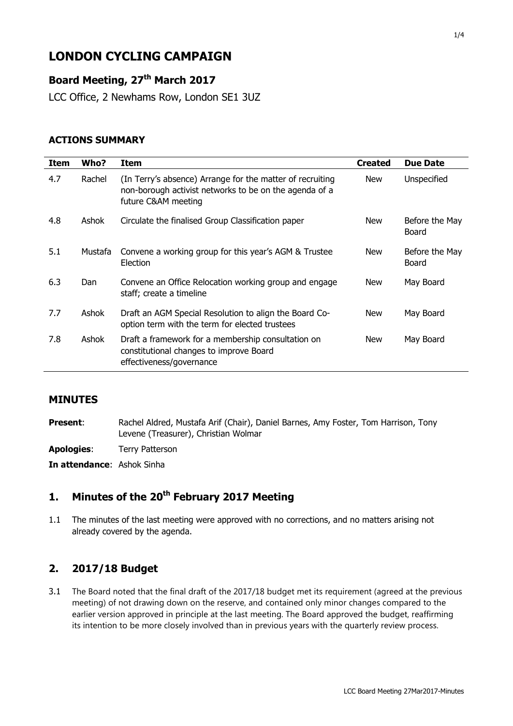# **LONDON CYCLING CAMPAIGN**

## **Board Meeting, 27 th March 2017**

LCC Office, 2 Newhams Row, London SE1 3UZ

#### **ACTIONS SUMMARY**

| <b>Item</b> | Who?    | Item                                                                                                                                       | <b>Created</b> | <b>Due Date</b>         |
|-------------|---------|--------------------------------------------------------------------------------------------------------------------------------------------|----------------|-------------------------|
| 4.7         | Rachel  | (In Terry's absence) Arrange for the matter of recruiting<br>non-borough activist networks to be on the agenda of a<br>future C&AM meeting | <b>New</b>     | Unspecified             |
| 4.8         | Ashok   | Circulate the finalised Group Classification paper                                                                                         | <b>New</b>     | Before the May<br>Board |
| 5.1         | Mustafa | Convene a working group for this year's AGM & Trustee<br>Election                                                                          | <b>New</b>     | Before the May<br>Board |
| 6.3         | Dan     | Convene an Office Relocation working group and engage<br>staff; create a timeline                                                          | New            | May Board               |
| 7.7         | Ashok   | Draft an AGM Special Resolution to align the Board Co-<br>option term with the term for elected trustees                                   | New            | May Board               |
| 7.8         | Ashok   | Draft a framework for a membership consultation on<br>constitutional changes to improve Board<br>effectiveness/governance                  | New            | May Board               |

#### **MINUTES**

**Present:** Rachel Aldred, Mustafa Arif (Chair), Daniel Barnes, Amy Foster, Tom Harrison, Tony Levene (Treasurer), Christian Wolmar

**Apologies**: Terry Patterson

**In attendance**: Ashok Sinha

# **1. Minutes of the 20th February 2017 Meeting**

1.1 The minutes of the last meeting were approved with no corrections, and no matters arising not already covered by the agenda.

#### **2. 2017/18 Budget**

3.1 The Board noted that the final draft of the 2017/18 budget met its requirement (agreed at the previous meeting) of not drawing down on the reserve, and contained only minor changes compared to the earlier version approved in principle at the last meeting. The Board approved the budget, reaffirming its intention to be more closely involved than in previous years with the quarterly review process.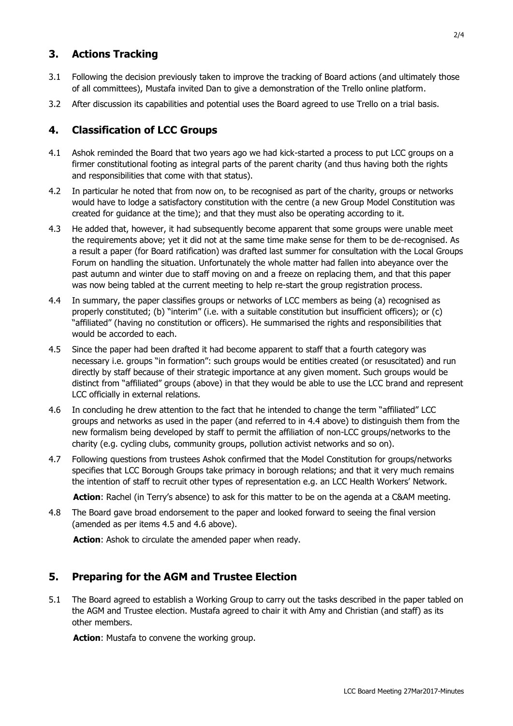### **3. Actions Tracking**

- 3.1 Following the decision previously taken to improve the tracking of Board actions (and ultimately those of all committees), Mustafa invited Dan to give a demonstration of the Trello online platform.
- 3.2 After discussion its capabilities and potential uses the Board agreed to use Trello on a trial basis.

### **4. Classification of LCC Groups**

- 4.1 Ashok reminded the Board that two years ago we had kick-started a process to put LCC groups on a firmer constitutional footing as integral parts of the parent charity (and thus having both the rights and responsibilities that come with that status).
- 4.2 In particular he noted that from now on, to be recognised as part of the charity, groups or networks would have to lodge a satisfactory constitution with the centre (a new Group Model Constitution was created for guidance at the time); and that they must also be operating according to it.
- 4.3 He added that, however, it had subsequently become apparent that some groups were unable meet the requirements above; yet it did not at the same time make sense for them to be de-recognised. As a result a paper (for Board ratification) was drafted last summer for consultation with the Local Groups Forum on handling the situation. Unfortunately the whole matter had fallen into abeyance over the past autumn and winter due to staff moving on and a freeze on replacing them, and that this paper was now being tabled at the current meeting to help re-start the group registration process.
- 4.4 In summary, the paper classifies groups or networks of LCC members as being (a) recognised as properly constituted; (b) "interim" (i.e. with a suitable constitution but insufficient officers); or (c) "affiliated" (having no constitution or officers). He summarised the rights and responsibilities that would be accorded to each.
- 4.5 Since the paper had been drafted it had become apparent to staff that a fourth category was necessary i.e. groups "in formation": such groups would be entities created (or resuscitated) and run directly by staff because of their strategic importance at any given moment. Such groups would be distinct from "affiliated" groups (above) in that they would be able to use the LCC brand and represent LCC officially in external relations.
- 4.6 In concluding he drew attention to the fact that he intended to change the term "affiliated" LCC groups and networks as used in the paper (and referred to in 4.4 above) to distinguish them from the new formalism being developed by staff to permit the affiliation of non-LCC groups/networks to the charity (e.g. cycling clubs, community groups, pollution activist networks and so on).
- 4.7 Following questions from trustees Ashok confirmed that the Model Constitution for groups/networks specifies that LCC Borough Groups take primacy in borough relations; and that it very much remains the intention of staff to recruit other types of representation e.g. an LCC Health Workers' Network.

**Action**: Rachel (in Terry's absence) to ask for this matter to be on the agenda at a C&AM meeting.

4.8 The Board gave broad endorsement to the paper and looked forward to seeing the final version (amended as per items 4.5 and 4.6 above).

**Action**: Ashok to circulate the amended paper when ready.

#### **5. Preparing for the AGM and Trustee Election**

5.1 The Board agreed to establish a Working Group to carry out the tasks described in the paper tabled on the AGM and Trustee election. Mustafa agreed to chair it with Amy and Christian (and staff) as its other members.

**Action**: Mustafa to convene the working group.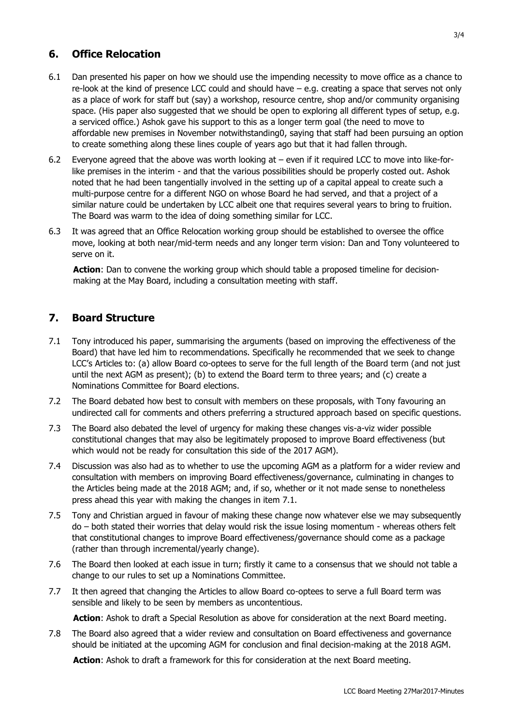### **6. Office Relocation**

- 6.1 Dan presented his paper on how we should use the impending necessity to move office as a chance to re-look at the kind of presence LCC could and should have – e.g. creating a space that serves not only as a place of work for staff but (say) a workshop, resource centre, shop and/or community organising space. (His paper also suggested that we should be open to exploring all different types of setup, e.g. a serviced office.) Ashok gave his support to this as a longer term goal (the need to move to affordable new premises in November notwithstanding0, saying that staff had been pursuing an option to create something along these lines couple of years ago but that it had fallen through.
- 6.2 Everyone agreed that the above was worth looking at even if it required LCC to move into like-forlike premises in the interim - and that the various possibilities should be properly costed out. Ashok noted that he had been tangentially involved in the setting up of a capital appeal to create such a multi-purpose centre for a different NGO on whose Board he had served, and that a project of a similar nature could be undertaken by LCC albeit one that requires several years to bring to fruition. The Board was warm to the idea of doing something similar for LCC.
- 6.3 It was agreed that an Office Relocation working group should be established to oversee the office move, looking at both near/mid-term needs and any longer term vision: Dan and Tony volunteered to serve on it.

**Action**: Dan to convene the working group which should table a proposed timeline for decisionmaking at the May Board, including a consultation meeting with staff.

### **7. Board Structure**

- 7.1 Tony introduced his paper, summarising the arguments (based on improving the effectiveness of the Board) that have led him to recommendations. Specifically he recommended that we seek to change LCC's Articles to: (a) allow Board co-optees to serve for the full length of the Board term (and not just until the next AGM as present); (b) to extend the Board term to three years; and (c) create a Nominations Committee for Board elections.
- 7.2 The Board debated how best to consult with members on these proposals, with Tony favouring an undirected call for comments and others preferring a structured approach based on specific questions.
- 7.3 The Board also debated the level of urgency for making these changes vis-a-viz wider possible constitutional changes that may also be legitimately proposed to improve Board effectiveness (but which would not be ready for consultation this side of the 2017 AGM).
- 7.4 Discussion was also had as to whether to use the upcoming AGM as a platform for a wider review and consultation with members on improving Board effectiveness/governance, culminating in changes to the Articles being made at the 2018 AGM; and, if so, whether or it not made sense to nonetheless press ahead this year with making the changes in item 7.1.
- 7.5 Tony and Christian argued in favour of making these change now whatever else we may subsequently do – both stated their worries that delay would risk the issue losing momentum - whereas others felt that constitutional changes to improve Board effectiveness/governance should come as a package (rather than through incremental/yearly change).
- 7.6 The Board then looked at each issue in turn; firstly it came to a consensus that we should not table a change to our rules to set up a Nominations Committee.
- 7.7 It then agreed that changing the Articles to allow Board co-optees to serve a full Board term was sensible and likely to be seen by members as uncontentious.

**Action**: Ashok to draft a Special Resolution as above for consideration at the next Board meeting.

7.8 The Board also agreed that a wider review and consultation on Board effectiveness and governance should be initiated at the upcoming AGM for conclusion and final decision-making at the 2018 AGM.

**Action**: Ashok to draft a framework for this for consideration at the next Board meeting.